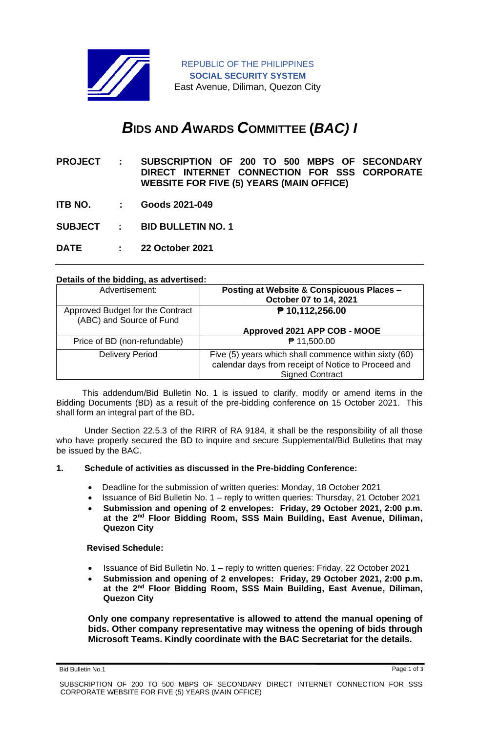

# *B***IDS AND** *A***WARDS** *C***OMMITTEE (***BAC) I*

- **PROJECT : SUBSCRIPTION OF 200 TO 500 MBPS OF SECONDARY DIRECT INTERNET CONNECTION FOR SSS CORPORATE WEBSITE FOR FIVE (5) YEARS (MAIN OFFICE)**
- **ITB NO. : Goods 2021-049**
- **SUBJECT : BID BULLETIN NO. 1**
- **DATE : 22 October 2021**

### **Details of the bidding, as advertised:**

| Advertisement:                                               | Posting at Website & Conspicuous Places -<br>October 07 to 14, 2021                                                                    |
|--------------------------------------------------------------|----------------------------------------------------------------------------------------------------------------------------------------|
| Approved Budget for the Contract<br>(ABC) and Source of Fund | ₱ 10,112,256.00                                                                                                                        |
|                                                              | Approved 2021 APP COB - MOOE                                                                                                           |
| Price of BD (non-refundable)                                 | ₱ 11,500.00                                                                                                                            |
| <b>Delivery Period</b>                                       | Five (5) years which shall commence within sixty (60)<br>calendar days from receipt of Notice to Proceed and<br><b>Signed Contract</b> |

 This addendum/Bid Bulletin No. 1 is issued to clarify, modify or amend items in the Bidding Documents (BD) as a result of the pre-bidding conference on 15 October 2021. This shall form an integral part of the BD**.**

Under Section 22.5.3 of the RIRR of RA 9184, it shall be the responsibility of all those who have properly secured the BD to inquire and secure Supplemental/Bid Bulletins that may be issued by the BAC.

## **1. Schedule of activities as discussed in the Pre-bidding Conference:**

- Deadline for the submission of written queries: Monday, 18 October 2021
- Issuance of Bid Bulletin No. 1 reply to written queries: Thursday, 21 October 2021
- **Submission and opening of 2 envelopes: Friday, 29 October 2021, 2:00 p.m. at the 2nd Floor Bidding Room, SSS Main Building, East Avenue, Diliman, Quezon City**

### **Revised Schedule:**

- Issuance of Bid Bulletin No. 1 reply to written queries: Friday, 22 October 2021
- **Submission and opening of 2 envelopes: Friday, 29 October 2021, 2:00 p.m. at the 2nd Floor Bidding Room, SSS Main Building, East Avenue, Diliman, Quezon City**

**Only one company representative is allowed to attend the manual opening of bids. Other company representative may witness the opening of bids through Microsoft Teams. Kindly coordinate with the BAC Secretariat for the details.**

Bid Bulletin No.1 Page 1 of 3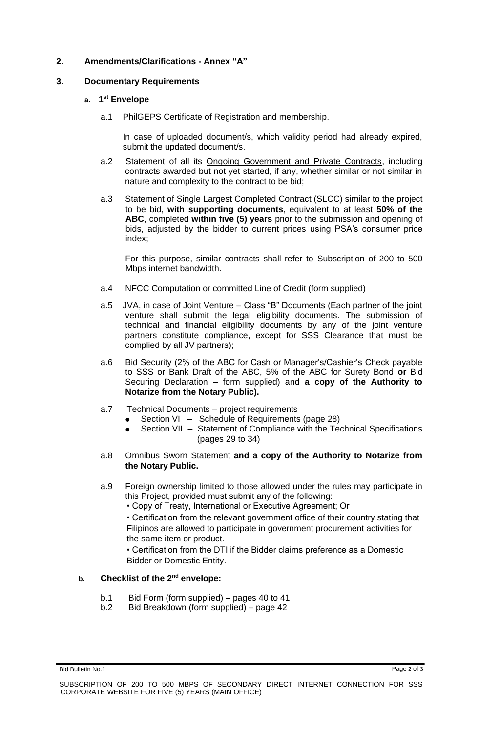## **2. Amendments/Clarifications - Annex "A"**

## **3. Documentary Requirements**

## **a. 1 st Envelope**

a.1 PhilGEPS Certificate of Registration and membership.

In case of uploaded document/s, which validity period had already expired, submit the updated document/s.

- a.2 Statement of all its Ongoing Government and Private Contracts, including contracts awarded but not yet started, if any, whether similar or not similar in nature and complexity to the contract to be bid;
- a.3 Statement of Single Largest Completed Contract (SLCC) similar to the project to be bid, **with supporting documents**, equivalent to at least **50% of the ABC**, completed **within five (5) years** prior to the submission and opening of bids, adjusted by the bidder to current prices using PSA's consumer price index;

For this purpose, similar contracts shall refer to Subscription of 200 to 500 Mbps internet bandwidth.

- a.4 NFCC Computation or committed Line of Credit (form supplied)
- a.5 JVA, in case of Joint Venture Class "B" Documents (Each partner of the joint venture shall submit the legal eligibility documents. The submission of technical and financial eligibility documents by any of the joint venture partners constitute compliance, except for SSS Clearance that must be complied by all JV partners);
- a.6 Bid Security (2% of the ABC for Cash or Manager's/Cashier's Check payable to SSS or Bank Draft of the ABC, 5% of the ABC for Surety Bond **or** Bid Securing Declaration – form supplied) and **a copy of the Authority to Notarize from the Notary Public).**
- a.7 Technical Documents project requirements
	- Section VI Schedule of Requirements (page 28)
	- Section VII Statement of Compliance with the Technical Specifications (pages 29 to 34)
- a.8 Omnibus Sworn Statement **and a copy of the Authority to Notarize from the Notary Public.**
- a.9 Foreign ownership limited to those allowed under the rules may participate in this Project, provided must submit any of the following:
	- Copy of Treaty, International or Executive Agreement; Or

• Certification from the relevant government office of their country stating that Filipinos are allowed to participate in government procurement activities for the same item or product.

• Certification from the DTI if the Bidder claims preference as a Domestic Bidder or Domestic Entity.

## **b. Checklist of the 2nd envelope:**

- b.1 Bid Form (form supplied) pages 40 to 41
- b.2 Bid Breakdown (form supplied) page 42

Bid Bulletin No.1 Page 2 of 3